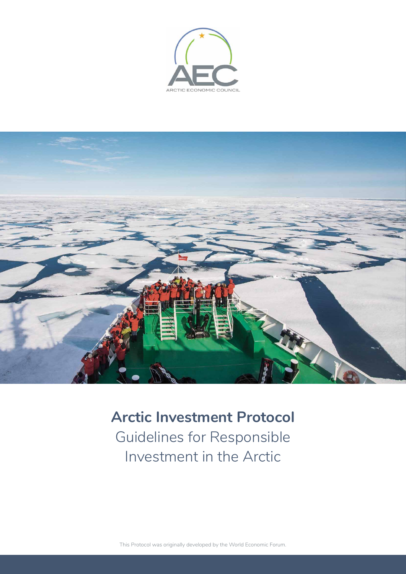



# **Arctic Investment Protocol**  Guidelines for Responsible Investment in the Arctic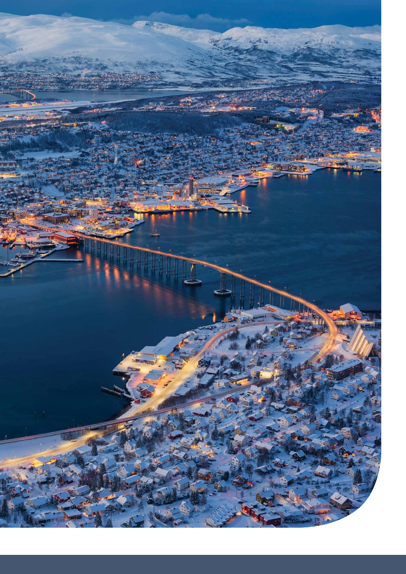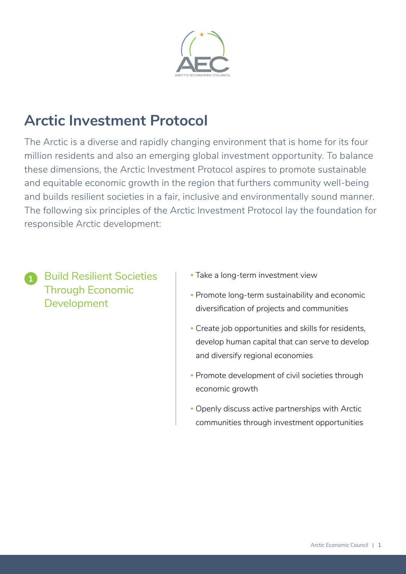

# **Arctic Investment Protocol**

The Arctic is a diverse and rapidly changing environment that is home for its four million residents and also an emerging global investment opportunity. To balance these dimensions, the Arctic Investment Protocol aspires to promote sustainable and equitable economic growth in the region that furthers community well-being and builds resilient societies in a fair, inclusive and environmentally sound manner. The following six principles of the Arctic Investment Protocol lay the foundation for responsible Arctic development:

Build Resilient Societies Through Economic Development

- Take a long-term investment view
- Promote long-term sustainability and economic diversification of projects and communities
- Create job opportunities and skills for residents, develop human capital that can serve to develop and diversify regional economies
- Promote development of civil societies through economic growth
- Openly discuss active partnerships with Arctic communities through investment opportunities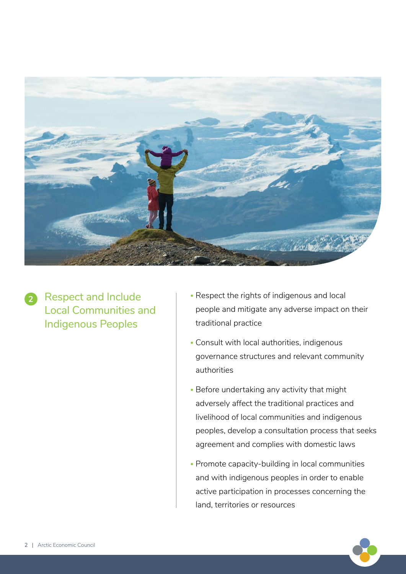

Respect and Include Local Communities and Indigenous Peoples

**2**

- Respect the rights of indigenous and local people and mitigate any adverse impact on their traditional practice
- Consult with local authorities, indigenous governance structures and relevant community authorities
- Before undertaking any activity that might adversely affect the traditional practices and livelihood of local communities and indigenous peoples, develop a consultation process that seeks agreement and complies with domestic laws
- Promote capacity-building in local communities and with indigenous peoples in order to enable active participation in processes concerning the land, territories or resources

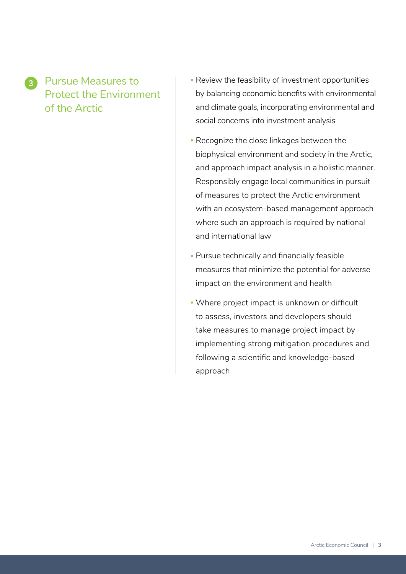Pursue Measures to **3**Protect the Environment of the Arctic

- Review the feasibility of investment opportunities by balancing economic benefits with environmental and climate goals, incorporating environmental and social concerns into investment analysis
- Recognize the close linkages between the biophysical environment and society in the Arctic, and approach impact analysis in a holistic manner. Responsibly engage local communities in pursuit of measures to protect the Arctic environment with an ecosystem-based management approach where such an approach is required by national and international law
- Pursue technically and financially feasible measures that minimize the potential for adverse impact on the environment and health
- Where project impact is unknown or difficult to assess, investors and developers should take measures to manage project impact by implementing strong mitigation procedures and following a scientific and knowledge-based approach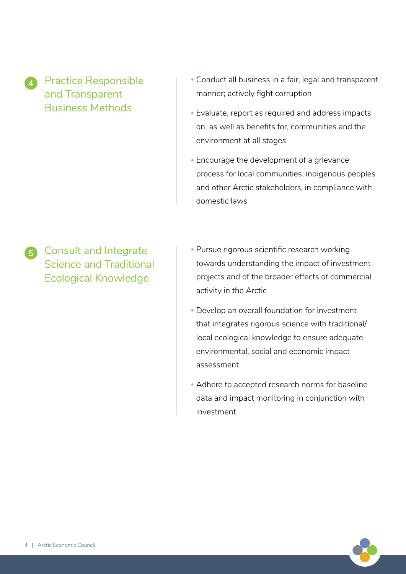Practice Responsible **4**and Transparent Business Methods

- Conduct all business in a fair, legal and transparent manner; actively fight corruption
- Evaluate, report as required and address impacts on, as well as benefits for, communities and the environment at all stages
- Encourage the development of a grievance process for local communities, indigenous peoples and other Arctic stakeholders, in compliance with domestic laws

Consult and Integrate **5** Science and Traditional Ecological Knowledge

- Pursue rigorous scientific research working towards understanding the impact of investment projects and of the broader effects of commercial activity in the Arctic
- Develop an overall foundation for investment that integrates rigorous science with traditional/ local ecological knowledge to ensure adequate environmental, social and economic impact assessment
- Adhere to accepted research norms for baseline data and impact monitoring in conjunction with investment

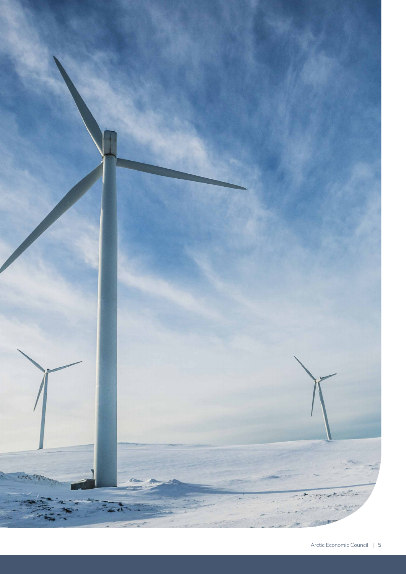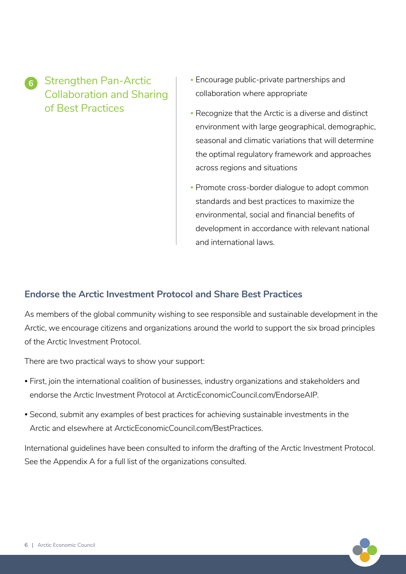Strengthen Pan-Arctic **6**Collaboration and Sharing of Best Practices

- Encourage public-private partnerships and collaboration where appropriate
- Recognize that the Arctic is a diverse and distinct environment with large geographical, demographic, seasonal and climatic variations that will determine the optimal regulatory framework and approaches across regions and situations
- Promote cross-border dialogue to adopt common standards and best practices to maximize the environmental, social and financial benefits of development in accordance with relevant national and international laws.

### **Endorse the Arctic Investment Protocol and Share Best Practices**

As members of the global community wishing to see responsible and sustainable development in the Arctic, we encourage citizens and organizations around the world to support the six broad principles of the Arctic Investment Protocol.

There are two practical ways to show your support:

- First, join the international coalition of businesses, industry organizations and stakeholders and endorse the Arctic Investment Protocol at ArcticEconomicCouncil.com/EndorseAIP.
- Second, submit any examples of best practices for achieving sustainable investments in the Arctic and elsewhere at ArcticFconomicCouncil.com/BestPractices.

International guidelines have been consulted to inform the drafting of the Arctic Investment Protocol. See the Appendix A for a full list of the organizations consulted.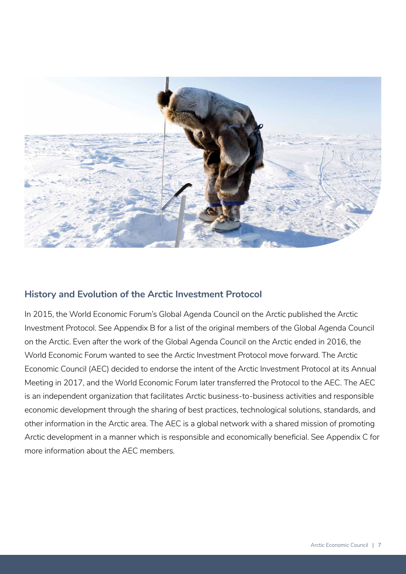

### **History and Evolution of the Arctic Investment Protocol**

In 2015, the World Economic Forum's Global Agenda Council on the Arctic published the Arctic Investment Protocol. See Appendix B for a list of the original members of the Global Agenda Council on the Arctic. Even after the work of the Global Agenda Council on the Arctic ended in 2016, the World Economic Forum wanted to see the Arctic Investment Protocol move forward. The Arctic Economic Council (AEC) decided to endorse the intent of the Arctic Investment Protocol at its Annual Meeting in 2017, and the World Economic Forum later transferred the Protocol to the AEC. The AEC is an independent organization that facilitates Arctic business-to-business activities and responsible economic development through the sharing of best practices, technological solutions, standards, and other information in the Arctic area. The AEC is a global network with a shared mission of promoting Arctic development in a manner which is responsible and economically beneficial. See Appendix C for more information about the AEC members.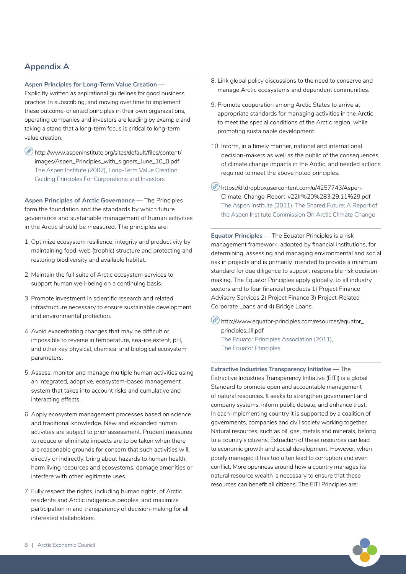### **Appendix A**

#### **Aspen Principles for Long-Term Value Creation** —

Explicitly written as aspirational guidelines for good business practice. In subscribing, and moving over time to implement these outcome-oriented principles in their own organizations, operating companies and investors are leading by example and taking a stand that a long-term focus is critical to long-term value creation.

http://www.aspeninstitute.org/sites/default/files/content/ images/Aspen\_Principles\_with\_signers\_June\_10\_0.pdf The Aspen Institute (2007), Long-Term Value Creation: Guiding Principles For Corporations and Investors.

**Aspen Principles of Arctic Governance** — The Principles form the foundation and the standards by which future governance and sustainable management of human activities in the Arctic should be measured. The principles are:

- 1. Optimize ecosystem resilience, integrity and productivity by maintaining food-web (trophic) structure and protecting and restoring biodiversity and available habitat.
- 2. Maintain the full suite of Arctic ecosystem services to support human well-being on a continuing basis.
- 3. Promote investment in scientific research and related infrastructure necessary to ensure sustainable development and environmental protection.
- 4. Avoid exacerbating changes that may be difficult or impossible to reverse in temperature, sea-ice extent, pH, and other key physical, chemical and biological ecosystem parameters.
- 5. Assess, monitor and manage multiple human activities using an integrated, adaptive, ecosystem-based management system that takes into account risks and cumulative and interacting effects.
- 6. Apply ecosystem management processes based on science and traditional knowledge. New and expanded human activities are subject to prior assessment. Prudent measures to reduce or eliminate impacts are to be taken when there are reasonable grounds for concern that such activities will, directly or indirectly, bring about hazards to human health, harm living resources and ecosystems, damage amenities or interfere with other legitimate uses.
- 7. Fully respect the rights, including human rights, of Arctic residents and Arctic indigenous peoples, and maximize participation in and transparency of decision-making for all interested stakeholders.
- 8. Link global policy discussions to the need to conserve and manage Arctic ecosystems and dependent communities.
- 9. Promote cooperation among Arctic States to arrive at appropriate standards for managing activities in the Arctic to meet the special conditions of the Arctic region, while promoting sustainable development.
- 10. Inform, in a timely manner, national and international decision-makers as well as the public of the consequences of climate change impacts in the Arctic, and needed actions required to meet the above noted principles.
- https://dl.dropboxusercontent.com/u/4257743/Aspen-Climate-Change-Report-v22lr%20%283.29.11%29.pdf The Aspen Institute (2011), The Shared Future: A Report of the Aspen Institute Commission On Arctic Climate Change

**Equator Principles** — The Equator Principles is a risk management framework, adopted by financial institutions, for determining, assessing and managing environmental and social risk in projects and is primarily intended to provide a minimum standard for due diligence to support responsible risk decisionmaking. The Equator Principles apply globally, to all industry sectors and to four financial products 1) Project Finance Advisory Services 2) Project Finance 3) Project-Related Corporate Loans and 4) Bridge Loans.

http://www.equator-principles.com/resources/equator\_ principles\_III.pdf The Equator Principles Association (2011), The Equator Principles

**Extractive Industries Transparency Initiative — The** Extractive Industries Transparency Initiative (EITI) is a global Standard to promote open and accountable management of natural resources. It seeks to strengthen government and company systems, inform public debate, and enhance trust. In each implementing country it is supported by a coalition of governments, companies and civil society working together. Natural resources, such as oil, gas, metals and minerals, belong to a country's citizens. Extraction of these resources can lead to economic growth and social development. However, when poorly managed it has too often lead to corruption and even conflict. More openness around how a country manages its natural resource wealth is necessary to ensure that these resources can benefit all citizens. The EITI Principles are: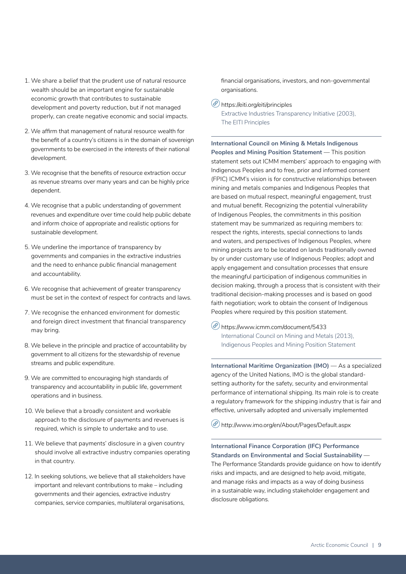- 1. We share a belief that the prudent use of natural resource wealth should be an important engine for sustainable economic growth that contributes to sustainable development and poverty reduction, but if not managed properly, can create negative economic and social impacts.
- 2. We affirm that management of natural resource wealth for the benefit of a country's citizens is in the domain of sovereign governments to be exercised in the interests of their national development.
- 3. We recognise that the benefits of resource extraction occur as revenue streams over many years and can be highly price dependent.
- 4. We recognise that a public understanding of government revenues and expenditure over time could help public debate and inform choice of appropriate and realistic options for sustainable development.
- 5. We underline the importance of transparency by governments and companies in the extractive industries and the need to enhance public financial management and accountability.
- 6. We recognise that achievement of greater transparency must be set in the context of respect for contracts and laws.
- 7. We recognise the enhanced environment for domestic and foreign direct investment that financial transparency may bring.
- 8. We believe in the principle and practice of accountability by government to all citizens for the stewardship of revenue streams and public expenditure.
- 9. We are committed to encouraging high standards of transparency and accountability in public life, government operations and in business.
- 10. We believe that a broadly consistent and workable approach to the disclosure of payments and revenues is required, which is simple to undertake and to use.
- 11. We believe that payments' disclosure in a given country should involve all extractive industry companies operating in that country.
- 12. In seeking solutions, we believe that all stakeholders have important and relevant contributions to make – including governments and their agencies, extractive industry companies, service companies, multilateral organisations,

financial organisations, investors, and non-governmental organisations.

https://eiti.org/eiti/principles Extractive Industries Transparency Initiative (2003), The EITI Principles

**International Council on Mining & Metals Indigenous Peoples and Mining Position Statement** — This position statement sets out ICMM members' approach to engaging with Indigenous Peoples and to free, prior and informed consent (FPIC) ICMM's vision is for constructive relationships between mining and metals companies and Indigenous Peoples that are based on mutual respect, meaningful engagement, trust and mutual benefit. Recognizing the potential vulnerability of Indigenous Peoples, the commitments in this position statement may be summarized as requiring members to: respect the rights, interests, special connections to lands and waters, and perspectives of Indigenous Peoples, where mining projects are to be located on lands traditionally owned by or under customary use of Indigenous Peoples; adopt and apply engagement and consultation processes that ensure the meaningful participation of indigenous communities in decision making, through a process that is consistent with their traditional decision-making processes and is based on good faith negotiation; work to obtain the consent of Indigenous Peoples where required by this position statement.

https://www.icmm.com/document/5433 International Council on Mining and Metals (2013), Indigenous Peoples and Mining Position Statement

**International Maritime Organization (IMO)** — As a specialized agency of the United Nations, IMO is the global standardsetting authority for the safety, security and environmental performance of international shipping. Its main role is to create a regulatory framework for the shipping industry that is fair and effective, universally adopted and universally implemented

http://www.imo.org/en/About/Pages/Default.aspx

**International Finance Corporation (IFC) Performance Standards on Environmental and Social Sustainability** — The Performance Standards provide guidance on how to identify risks and impacts, and are designed to help avoid, mitigate, and manage risks and impacts as a way of doing business in a sustainable way, including stakeholder engagement and disclosure obligations.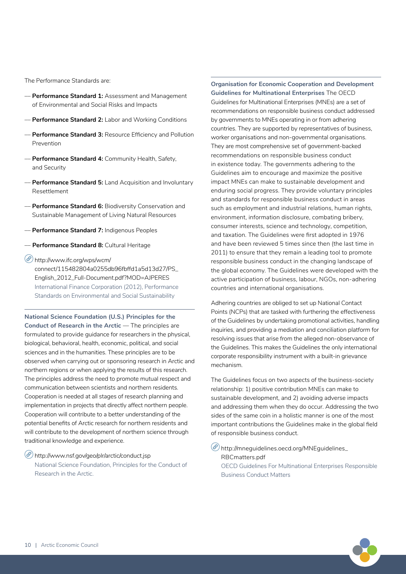The Performance Standards are:

- –– **Performance Standard 1:** Assessment and Management of Environmental and Social Risks and Impacts
- –– **Performance Standard 2:** Labor and Working Conditions
- –– **Performance Standard 3:** Resource Efficiency and Pollution Prevention
- –– **Performance Standard 4:** Community Health, Safety, and Security
- –– **Performance Standard 5:** Land Acquisition and Involuntary Resettlement
- –– **Performance Standard 6:** Biodiversity Conservation and Sustainable Management of Living Natural Resources
- –– **Performance Standard 7:** Indigenous Peoples
- –– **Performance Standard 8:** Cultural Heritage
- http://www.ifc.org/wps/wcm/ connect/115482804a0255db96fbffd1a5d13d27/PS\_ English\_2012\_Full-Document.pdf?MOD=AJPERES International Finance Corporation (2012), Performance Standards on Environmental and Social Sustainability

**National Science Foundation (U.S.) Principles for the Conduct of Research in the Arctic** — The principles are formulated to provide guidance for researchers in the physical, biological, behavioral, health, economic, political, and social sciences and in the humanities. These principles are to be observed when carrying out or sponsoring research in Arctic and northern regions or when applying the results of this research. The principles address the need to promote mutual respect and communication between scientists and northern residents. Cooperation is needed at all stages of research planning and implementation in projects that directly affect northern people. Cooperation will contribute to a better understanding of the potential benefits of Arctic research for northern residents and will contribute to the development of northern science through traditional knowledge and experience.

http://www.nsf.gov/geo/plr/arctic/conduct.jsp National Science Foundation, Principles for the Conduct of Research in the Arctic.

**Organisation for Economic Cooperation and Development Guidelines for Multinational Enterprises** The OECD Guidelines for Multinational Enterprises (MNEs) are a set of recommendations on responsible business conduct addressed by governments to MNEs operating in or from adhering countries. They are supported by representatives of business, worker organisations and non-governmental organisations. They are most comprehensive set of government-backed recommendations on responsible business conduct in existence today. The governments adhering to the Guidelines aim to encourage and maximize the positive impact MNEs can make to sustainable development and enduring social progress. They provide voluntary principles and standards for responsible business conduct in areas such as employment and industrial relations, human rights, environment, information disclosure, combating bribery, consumer interests, science and technology, competition, and taxation. The Guidelines were first adopted in 1976 and have been reviewed 5 times since then (the last time in 2011) to ensure that they remain a leading tool to promote responsible business conduct in the changing landscape of the global economy. The Guidelines were developed with the active participation of business, labour, NGOs, non-adhering countries and international organisations.

Adhering countries are obliged to set up National Contact Points (NCPs) that are tasked with furthering the effectiveness of the Guidelines by undertaking promotional activities, handling inquiries, and providing a mediation and conciliation platform for resolving issues that arise from the alleged non-observance of the Guidelines. This makes the Guidelines the only international corporate responsibility instrument with a built-in grievance mechanism.

The Guidelines focus on two aspects of the business-society relationship: 1) positive contribution MNEs can make to sustainable development, and 2) avoiding adverse impacts and addressing them when they do occur. Addressing the two sides of the same coin in a holistic manner is one of the most important contributions the Guidelines make in the global field of responsible business conduct.

http://mneguidelines.oecd.org/MNEguidelines\_ RBCmatters.pdf OECD Guidelines For Multinational Enterprises Responsible Business Conduct Matters

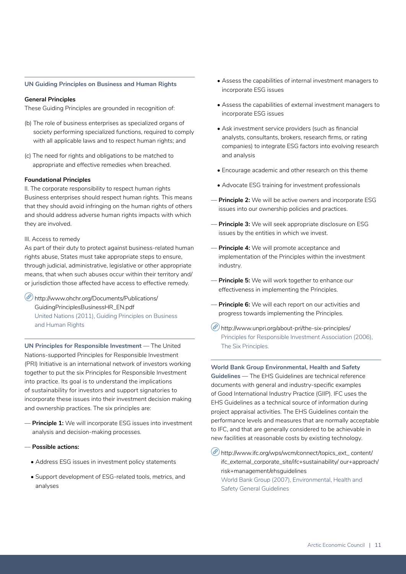#### **UN Guiding Principles on Business and Human Rights**

### **General Principles**

These Guiding Principles are grounded in recognition of:

- (b) The role of business enterprises as specialized organs of society performing specialized functions, required to comply with all applicable laws and to respect human rights; and
- (c) The need for rights and obligations to be matched to appropriate and effective remedies when breached.

#### **Foundational Principles**

II. The corporate responsibility to respect human rights Business enterprises should respect human rights. This means that they should avoid infringing on the human rights of others and should address adverse human rights impacts with which they are involved.

### III. Access to remedy

As part of their duty to protect against business-related human rights abuse, States must take appropriate steps to ensure, through judicial, administrative, legislative or other appropriate means, that when such abuses occur within their territory and/ or jurisdiction those affected have access to effective remedy.

http://www.ohchr.org/Documents/Publications/ GuidingPrinciplesBusinessHR\_EN.pdf United Nations (2011), Guiding Principles on Business and Human Rights

**UN Principles for Responsible Investment — The United** Nations-supported Principles for Responsible Investment (PRI) Initiative is an international network of investors working together to put the six Principles for Responsible Investment into practice. Its goal is to understand the implications of sustainability for investors and support signatories to incorporate these issues into their investment decision making and ownership practices. The six principles are:

- –– **Principle 1:** We will incorporate ESG issues into investment analysis and decision-making processes.
- –– **Possible actions:**
	- Address ESG issues in investment policy statements
	- Support development of ESG-related tools, metrics, and analyses
- Assess the capabilities of internal investment managers to incorporate ESG issues
- Assess the capabilities of external investment managers to incorporate ESG issues
- Ask investment service providers (such as financial analysts, consultants, brokers, research firms, or rating companies) to integrate ESG factors into evolving research and analysis
- Encourage academic and other research on this theme
- Advocate ESG training for investment professionals
- –– **Principle 2:** We will be active owners and incorporate ESG issues into our ownership policies and practices.
- –– **Principle 3:** We will seek appropriate disclosure on ESG issues by the entities in which we invest.
- –– **Principle 4:** We will promote acceptance and implementation of the Principles within the investment industry.
- –– **Principle 5:** We will work together to enhance our effectiveness in implementing the Principles.
- –– **Principle 6:** We will each report on our activities and progress towards implementing the Principles.
- http://www.unpri.org/about-pri/the-six-principles/ Principles for Responsible Investment Association (2006), The Six Principles.

**World Bank Group Environmental, Health and Safety Guidelines** — The EHS Guidelines are technical reference documents with general and industry-specific examples of Good International Industry Practice (GIIP). IFC uses the EHS Guidelines as a technical source of information during project appraisal activities. The EHS Guidelines contain the performance levels and measures that are normally acceptable to IFC, and that are generally considered to be achievable in new facilities at reasonable costs by existing technology.

http://www.ifc.org/wps/wcm/connect/topics\_ext\_ content/ ifc\_external\_corporate\_site/ifc+sustainability/ our+approach/ risk+management/ehsguidelines World Bank Group (2007), Environmental, Health and Safety General Guidelines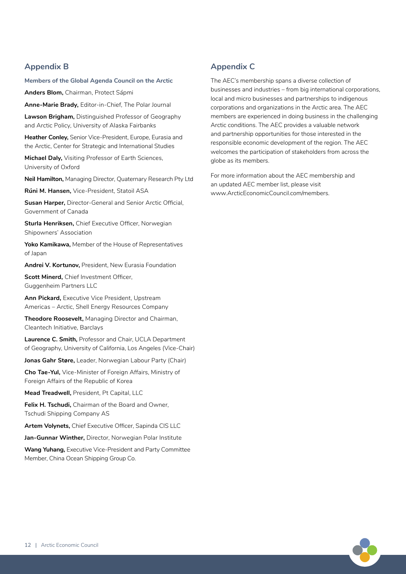### **Appendix B Appendix C**

### **Members of the Global Agenda Council on the Arctic**

**Anders Blom,** Chairman, Protect Sápmi

**Anne-Marie Brady,** Editor-in-Chief, The Polar Journal

**Lawson Brigham,** Distinguished Professor of Geography and Arctic Policy, University of Alaska Fairbanks

**Heather Conley,** Senior Vice-President, Europe, Eurasia and the Arctic, Center for Strategic and International Studies

**Michael Daly,** Visiting Professor of Earth Sciences, University of Oxford

**Neil Hamilton,** Managing Director, Quaternary Research Pty Ltd

**Rúni M. Hansen,** Vice-President, Statoil ASA

**Susan Harper,** Director-General and Senior Arctic Official, Government of Canada

**Sturla Henriksen,** Chief Executive Officer, Norwegian Shipowners' Association

**Yoko Kamikawa,** Member of the House of Representatives of Japan

**Andrei V. Kortunov,** President, New Eurasia Foundation

**Scott Minerd,** Chief Investment Officer, Guggenheim Partners LLC

**Ann Pickard,** Executive Vice President, Upstream Americas – Arctic, Shell Energy Resources Company

**Theodore Roosevelt,** Managing Director and Chairman, Cleantech Initiative, Barclays

**Laurence C. Smith,** Professor and Chair, UCLA Department of Geography, University of California, Los Angeles (Vice-Chair)

**Jonas Gahr Støre,** Leader, Norwegian Labour Party (Chair)

**Cho Tae-Yul,** Vice-Minister of Foreign Affairs, Ministry of Foreign Affairs of the Republic of Korea

**Mead Treadwell,** President, Pt Capital, LLC

**Felix H. Tschudi,** Chairman of the Board and Owner, Tschudi Shipping Company AS

**Artem Volynets,** Chief Executive Officer, Sapinda CIS LLC

**Jan-Gunnar Winther,** Director, Norwegian Polar Institute

**Wang Yuhang,** Executive Vice-President and Party Committee Member, China Ocean Shipping Group Co.

The AEC's membership spans a diverse collection of businesses and industries – from big international corporations, local and micro businesses and partnerships to indigenous corporations and organizations in the Arctic area. The AEC members are experienced in doing business in the challenging Arctic conditions. The AEC provides a valuable network and partnership opportunities for those interested in the responsible economic development of the region. The AEC welcomes the participation of stakeholders from across the globe as its members.

For more information about the AEC membership and an updated AEC member list, please visit www.ArcticEconomicCouncil.com/members.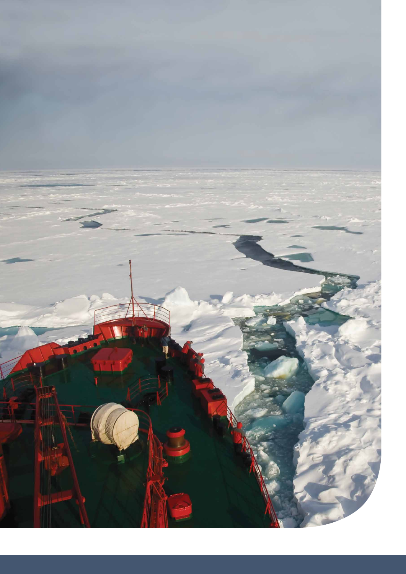